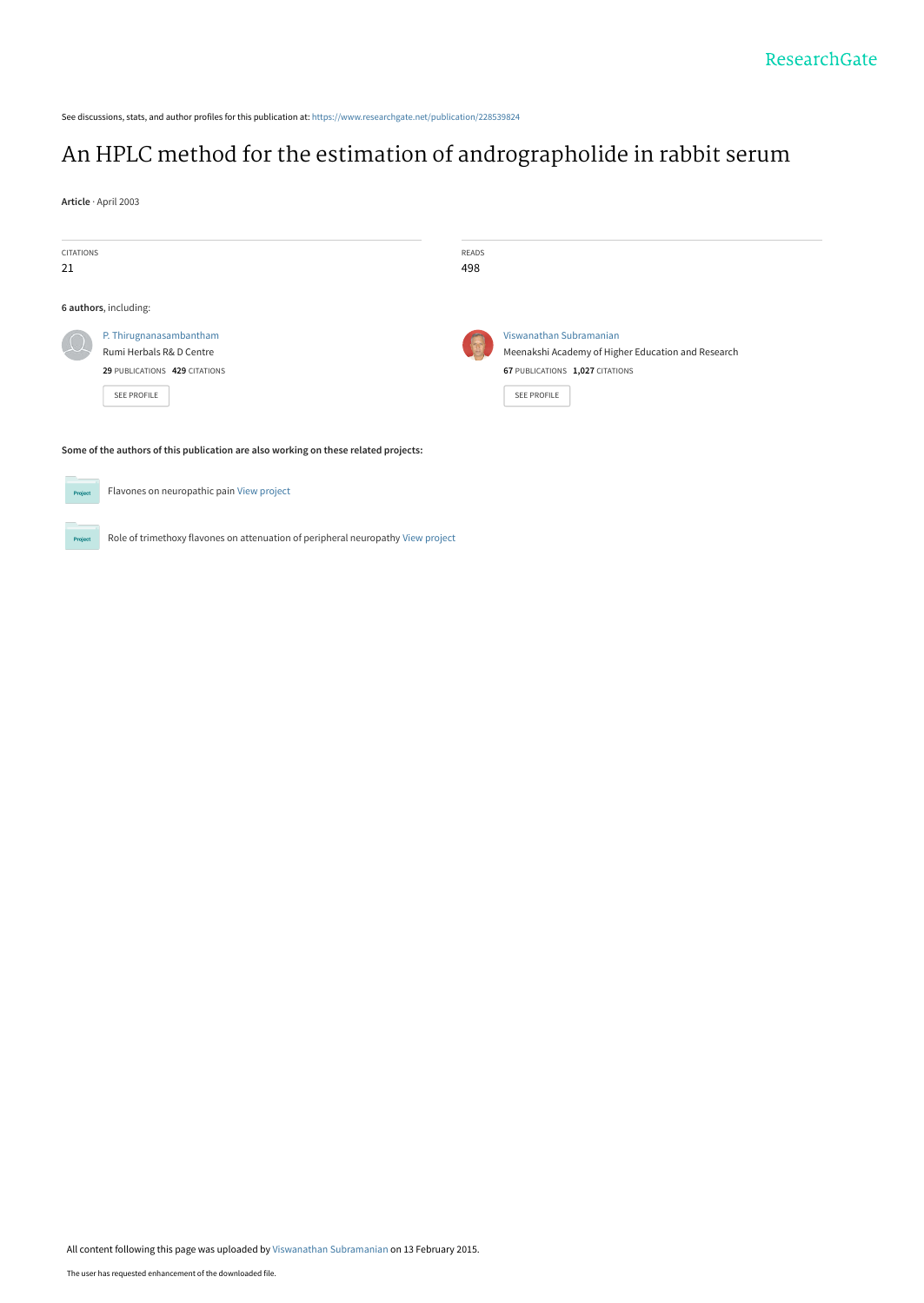See discussions, stats, and author profiles for this publication at: [https://www.researchgate.net/publication/228539824](https://www.researchgate.net/publication/228539824_An_HPLC_method_for_the_estimation_of_andrographolide_in_rabbit_serum?enrichId=rgreq-3a4c728deed930438f53ba17b2560571-XXX&enrichSource=Y292ZXJQYWdlOzIyODUzOTgyNDtBUzoxOTY0MTg4MDg2MTkwMDhAMTQyMzg0MTMwMTAyMg%3D%3D&el=1_x_2&_esc=publicationCoverPdf)

# [An HPLC method for the estimation of andrographolide in rabbit serum](https://www.researchgate.net/publication/228539824_An_HPLC_method_for_the_estimation_of_andrographolide_in_rabbit_serum?enrichId=rgreq-3a4c728deed930438f53ba17b2560571-XXX&enrichSource=Y292ZXJQYWdlOzIyODUzOTgyNDtBUzoxOTY0MTg4MDg2MTkwMDhAMTQyMzg0MTMwMTAyMg%3D%3D&el=1_x_3&_esc=publicationCoverPdf)

**Article** · April 2003

 $P_{\rm TC}$ 

| CITATIONS<br>21                                                                     |                                                                                                     | READS<br>498 |                                                                                                                                 |  |  |
|-------------------------------------------------------------------------------------|-----------------------------------------------------------------------------------------------------|--------------|---------------------------------------------------------------------------------------------------------------------------------|--|--|
|                                                                                     | 6 authors, including:                                                                               |              |                                                                                                                                 |  |  |
|                                                                                     | P. Thirugnanasambantham<br>Rumi Herbals R& D Centre<br>29 PUBLICATIONS 429 CITATIONS<br>SEE PROFILE | (5,8)        | Viswanathan Subramanian<br>Meenakshi Academy of Higher Education and Research<br>67 PUBLICATIONS 1,027 CITATIONS<br>SEE PROFILE |  |  |
| Some of the authors of this publication are also working on these related projects: |                                                                                                     |              |                                                                                                                                 |  |  |
| Project                                                                             | Flavones on neuropathic pain View project                                                           |              |                                                                                                                                 |  |  |

Role of trimethoxy flavones on attenuation of peripheral neuropathy [View project](https://www.researchgate.net/project/Role-of-trimethoxy-flavones-on-attenuation-of-peripheral-neuropathy?enrichId=rgreq-3a4c728deed930438f53ba17b2560571-XXX&enrichSource=Y292ZXJQYWdlOzIyODUzOTgyNDtBUzoxOTY0MTg4MDg2MTkwMDhAMTQyMzg0MTMwMTAyMg%3D%3D&el=1_x_9&_esc=publicationCoverPdf)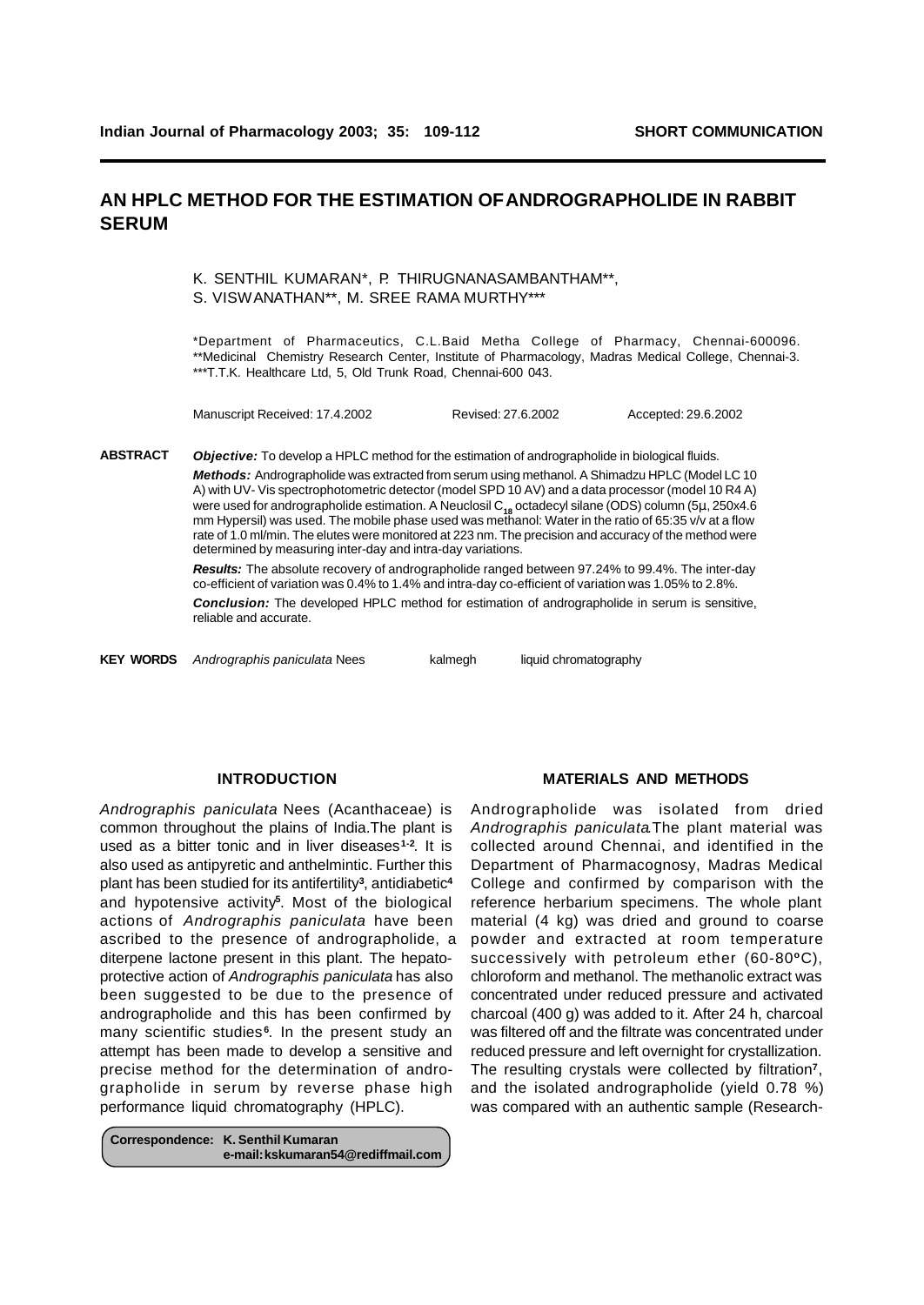**ANDROGRAPHOLIDE ESTIMATION IN SERUM**

### **AN HPLC METHOD FOR THE ESTIMATION OF ANDROGRAPHOLIDE IN RABBIT SERUM**

K. SENTHIL KUMARAN\*, P. THIRUGNANASAMBANTHAM\*\*, S. VISWANATHAN\*\*, M. SREE RAMA MURTHY\*\*\*

\*Department of Pharmaceutics, C.L.Baid Metha College of Pharmacy, Chennai-600096. \*\*Medicinal Chemistry Research Center, Institute of Pharmacology, Madras Medical College, Chennai-3. \*\*\*T.T.K. Healthcare Ltd, 5, Old Trunk Road, Chennai-600 043.

Manuscript Received: 17.4.2002 Revised: 27.6.2002 Accepted: 29.6.2002

*Objective:* To develop a HPLC method for the estimation of andrographolide in biological fluids. *Methods:* Andrographolide was extracted from serum using methanol. A Shimadzu HPLC (Model LC 10 A) with UV- Vis spectrophotometric detector (model SPD 10 AV) and a data processor (model 10 R4 A) were used for andrographolide estimation. A Neuclosil C**18** octadecyl silane (ODS) column (5**m**, 250x4.6 mm Hypersil) was used. The mobile phase used was methanol: Water in the ratio of 65:35 v/v at a flow rate of 1.0 ml/min. The elutes were monitored at 223 nm. The precision and accuracy of the method were determined by measuring inter-day and intra-day variations. **ABSTRACT**

*Results:* The absolute recovery of andrographolide ranged between 97.24% to 99.4%. The inter-day co-efficient of variation was 0.4% to 1.4% and intra-day co-efficient of variation was 1.05% to 2.8%. *Conclusion:* The developed HPLC method for estimation of andrographolide in serum is sensitive, reliable and accurate.

**KEY WORDS** *Andrographis paniculata* Nees kalmegh liquid chromatography

#### **INTRODUCTION**

*Andrographis paniculata* Nees (Acanthaceae) is common throughout the plains of India.The plant is used as a bitter tonic and in liver diseases**1-2**. It is also used as antipyretic and anthelmintic. Further this plant has been studied for its antifertility**<sup>3</sup>** , antidiabetic**<sup>4</sup>** and hypotensive activity**<sup>5</sup>** . Most of the biological actions of *Andrographis paniculata* have been ascribed to the presence of andrographolide, a diterpene lactone present in this plant. The hepatoprotective action of *Andrographis paniculata* has also been suggested to be due to the presence of andrographolide and this has been confirmed by many scientific studies<sup>6</sup>. In the present study an attempt has been made to develop a sensitive and precise method for the determination of andrographolide in serum by reverse phase high performance liquid chromatography (HPLC).

**Correspondence: K. Senthil Kumaran e-mail: kskumaran54@rediffmail.com**

#### **MATERIALS AND METHODS**

Andrographolide was isolated from dried *Andrographis paniculata*.The plant material was collected around Chennai, and identified in the Department of Pharmacognosy, Madras Medical College and confirmed by comparison with the reference herbarium specimens. The whole plant material (4 kg) was dried and ground to coarse powder and extracted at room temperature successively with petroleum ether (60-80°C), chloroform and methanol. The methanolic extract was concentrated under reduced pressure and activated charcoal (400 g) was added to it. After 24 h, charcoal was filtered off and the filtrate was concentrated under reduced pressure and left overnight for crystallization. The resulting crystals were collected by filtration**<sup>7</sup>** , and the isolated andrographolide (yield 0.78 %) was compared with an authentic sample (Research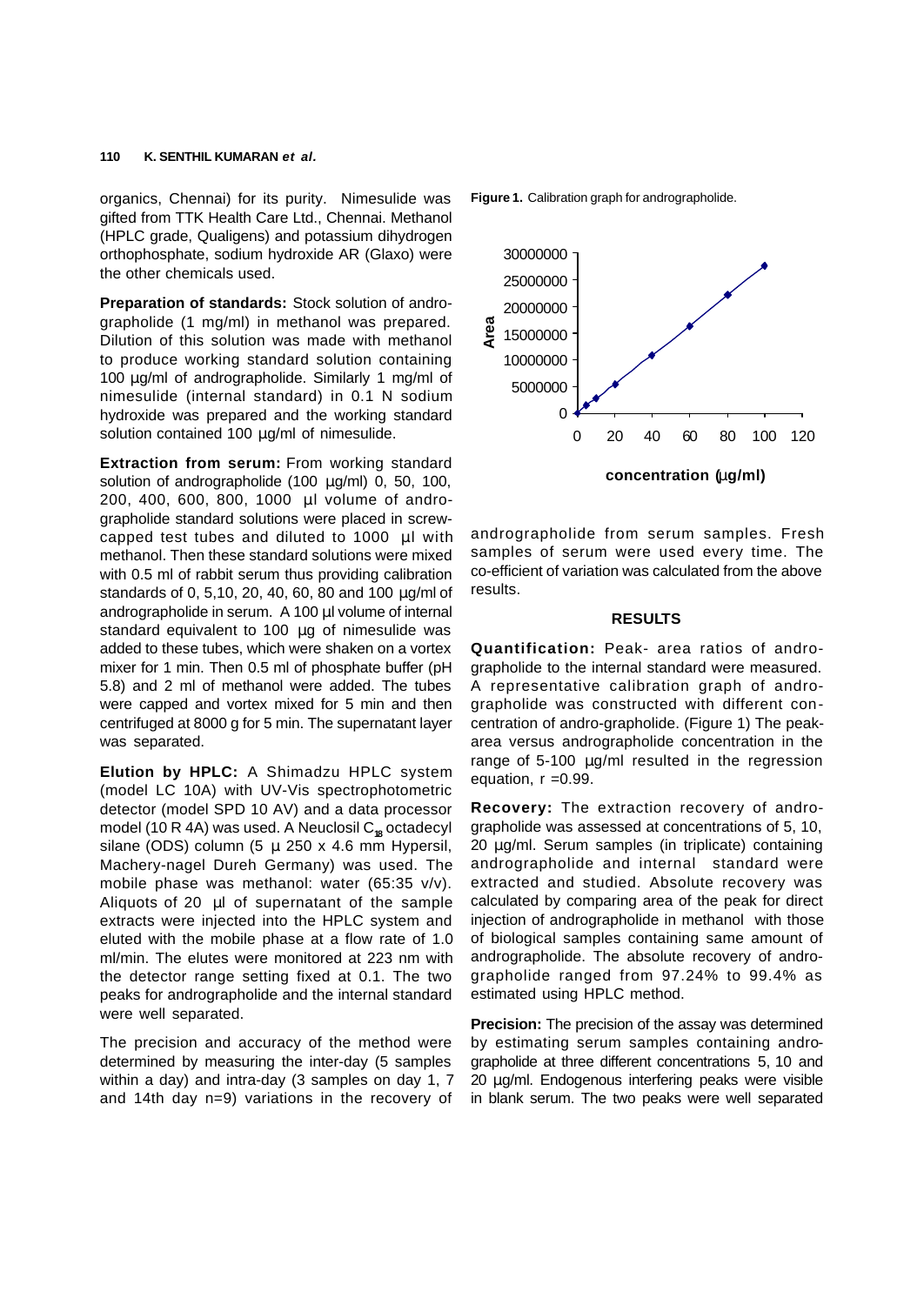organics, Chennai) for its purity. Nimesulide was gifted from TTK Health Care Ltd., Chennai. Methanol (HPLC grade, Qualigens) and potassium dihydrogen orthophosphate, sodium hydroxide AR (Glaxo) were the other chemicals used.

**Preparation of standards:** Stock solution of andrographolide (1 mg/ml) in methanol was prepared. Dilution of this solution was made with methanol to produce working standard solution containing 100 **m**g/ml of andrographolide. Similarly 1 mg/ml of nimesulide (internal standard) in 0.1 N sodium hydroxide was prepared and the working standard solution contained 100 **m**g/ml of nimesulide.

**Extraction from serum:** From working standard solution of andrographolide (100 **m**g/ml) 0, 50, 100, 200, 400, 600, 800, 1000 **m**l volume of andrographolide standard solutions were placed in screwcapped test tubes and diluted to 1000 **m**l with methanol. Then these standard solutions were mixed with 0.5 ml of rabbit serum thus providing calibration standards of 0, 5,10, 20, 40, 60, 80 and 100 **m**g/ml of andrographolide in serum. A 100 **m**l volume of internal standard equivalent to 100 **m**g of nimesulide was added to these tubes, which were shaken on a vortex mixer for 1 min. Then 0.5 ml of phosphate buffer (pH 5.8) and 2 ml of methanol were added. The tubes were capped and vortex mixed for 5 min and then centrifuged at 8000 g for 5 min. The supernatant layer was separated.

**Elution by HPLC:** A Shimadzu HPLC system (model LC 10A) with UV-Vis spectrophotometric detector (model SPD 10 AV) and a data processor model (10 R 4A) was used. A Neuclosil C<sub>18</sub> octadecyl silane (ODS) column (5 **m** 250 x 4.6 mm Hypersil, Machery-nagel Dureh Germany) was used. The mobile phase was methanol: water (65:35 v/v). Aliquots of 20 **m**l of supernatant of the sample extracts were injected into the HPLC system and eluted with the mobile phase at a flow rate of 1.0 ml/min. The elutes were monitored at 223 nm with the detector range setting fixed at 0.1. The two peaks for andrographolide and the internal standard were well separated.

The precision and accuracy of the method were determined by measuring the inter-day (5 samples within a day) and intra-day (3 samples on day 1, 7 and 14th day n=9) variations in the recovery of **Figure 1.** Calibration graph for andrographolide.



andrographolide from serum samples. Fresh samples of serum were used every time. The co-efficient of variation was calculated from the above results.

#### **RESULTS**

**Quantification:** Peak- area ratios of andrographolide to the internal standard were measured. A representative calibration graph of andrographolide was constructed with different concentration of andro-grapholide. (Figure 1) The peakarea versus andrographolide concentration in the range of 5-100 **m**g/ml resulted in the regression equation,  $r = 0.99$ .

**Recovery:** The extraction recovery of andrographolide was assessed at concentrations of 5, 10, 20 **m**g/ml. Serum samples (in triplicate) containing andrographolide and internal standard were extracted and studied. Absolute recovery was calculated by comparing area of the peak for direct injection of andrographolide in methanol with those of biological samples containing same amount of andrographolide. The absolute recovery of andrographolide ranged from 97.24% to 99.4% as estimated using HPLC method.

**Precision:** The precision of the assay was determined by estimating serum samples containing andrographolide at three different concentrations 5, 10 and 20 **m**g/ml. Endogenous interfering peaks were visible in blank serum. The two peaks were well separated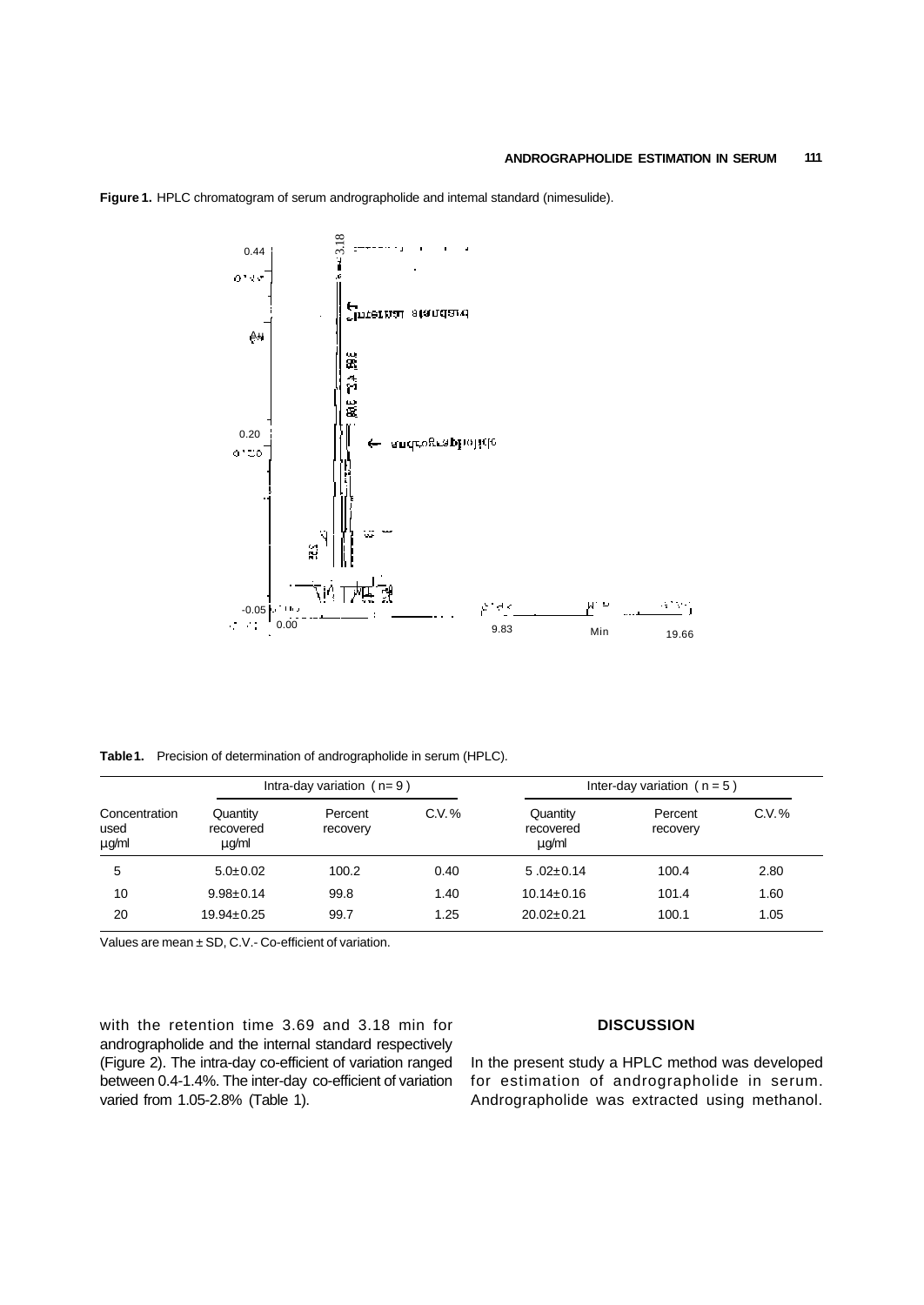

**Figure 1.** HPLC chromatogram of serum andrographolide and intemal standard (nimesulide).

**Table 1.** Precision of determination of andrographolide in serum (HPLC).

|                                | Intra-day variation $(n=9)$     |                     |        | Inter-day variation ( $n = 5$ ) |                     |          |
|--------------------------------|---------------------------------|---------------------|--------|---------------------------------|---------------------|----------|
| Concentration<br>used<br>mg/ml | Quantity<br>recovered<br>mun/ml | Percent<br>recovery | C.V. % | Quantity<br>recovered<br>m/m    | Percent<br>recovery | $C.V.$ % |
| 5                              | $5.0 \pm 0.02$                  | 100.2               | 0.40   | $5.02 \pm 0.14$                 | 100.4               | 2.80     |
| 10                             | $9.98 \pm 0.14$                 | 99.8                | 1.40   | $10.14 \pm 0.16$                | 101.4               | 1.60     |
| 20                             | $19.94 \pm 0.25$                | 99.7                | 1.25   | $20.02 \pm 0.21$                | 100.1               | 1.05     |

Values are mean ± SD, C.V.- Co-efficient of variation.

with the retention time 3.69 and 3.18 min for andrographolide and the internal standard respectively (Figure 2). The intra-day co-efficient of variation ranged between 0.4-1.4%. The inter-day co-efficient of variation varied from 1.05-2.8% (Table 1).

#### **DISCUSSION**

In the present study a HPLC method was developed for estimation of andrographolide in serum. Andrographolide was extracted using methanol.